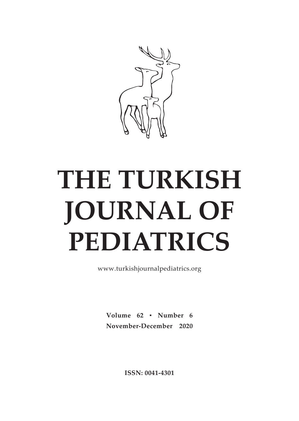

# **THE TURKISH JOURNAL OF PEDIATRICS**

www.turkishjournalpediatrics.org

**Volume 62** ▪ **Number 6 November-December 2020**

**ISSN: 0041-4301**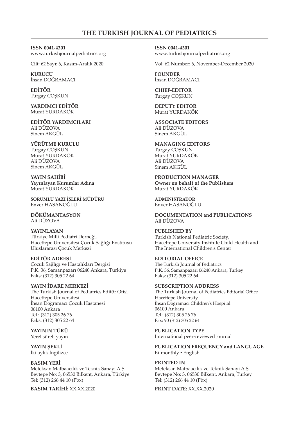### **THE TURKISH JOURNAL OF PEDIATRICS**

**ISSN 0041-4301** www.turkishjournalpediatrics.org

Cilt: 62 Sayı: 6, Kasım-Aralık 2020

**KURUCU** İhsan DOĞRAMACI

**EDİTÖR** Turgay COŞKUN

**YARDIMCI EDİTÖR** Murat YURDAKÖK

**EDİTÖR YARDIMCILARI** Ali DÜZOVA Sinem AKGÜL

**YÜRÜTME KURULU** Turgay COŞKUN Murat YURDAKÖK Ali DÜZOVA Sinem AKGÜL

**YAYIN SAHİBİ Yayınlayan Kurumlar Adına** Murat YURDAKÖK

**SORUMLU YAZI İŞLERİ MÜDÜRÜ** Enver HASANOĞLU

**DÖKÜMANTASYON** Ali DÜZOVA

**YAYINLAYAN** Türkiye Milli Pediatri Derneği, Hacettepe Üniversitesi Çocuk Sağlığı Enstitüsü Uluslararası Çocuk Merkezi

**EDİTÖR ADRESİ** Çocuk Sağlığı ve Hastalıkları Dergisi P.K. 36, Samanpazarı 06240 Ankara, Türkiye Faks: (312) 305 22 64

**YAYIN İDARE MERKEZİ**  The Turkish Journal of Pediatrics Editör Ofisi Hacettepe Üniversitesi İhsan Doğramacı Çocuk Hastanesi 06100 Ankara Tel : (312) 305 26 76 Faks: (312) 305 22 64

**YAYININ TÜRÜ** Yerel süreli yayın

**YAYIN ŞEKLİ** İki aylık İngilizce

**BASIM YERİ** Meteksan Matbaacılık ve Teknik Sanayi A.Ş. Beytepe No: 3, 06530 Bilkent, Ankara, Türkiye Tel: (312) 266 44 10 (Pbx)

**BASIM TARİHİ:** XX.XX.2020

**ISSN 0041-4301** www.turkishjournalpediatrics.org

Vol: 62 Number: 6, November-December 2020

**FOUNDER** İhsan DOĞRAMACI

**CHIEF-EDITOR** Turgay COŞKUN

**DEPUTY EDITOR** Murat YURDAKÖK

**ASSOCIATE EDITORS** Ali DÜZOVA Sinem AKGÜL

**MANAGING EDITORS** Turgay COŞKUN Murat YURDAKÖK Ali DÜZOVA Sinem AKGÜL

**PRODUCTION MANAGER Owner on behalf of the Publishers** Murat YURDAKÖK

**ADMINISTRATOR** Enver HASANOĞLU

**DOCUMENTATION and PUBLICATIONS** Ali DÜZOVA

**PUBLISHED BY** Turkish National Pediatric Society, Hacettepe University Institute Child Health and The International Children's Center

**EDITORIAL OFFICE** The Turkish Journal of Pediatrics P.K. 36, Samanpazarı 06240 Ankara, Turkey Faks: (312) 305 22 64

**SUBSCRIPTION ADDRESS** The Turkish Journal of Pediatrics Editorial Office Hacettepe University İhsan Doğramacı Children's Hospital 06100 Ankara Tel : (312) 305 26 76

Fax: 90 (312) 305 22 64

**PUBLICATION TYPE** International peer-reviewed journal

**PUBLICATION FREQUENCY and LANGUAGE** Bi-monthly · English

**PRINTED IN** Meteksan Matbaacılık ve Teknik Sanayi A.Ş. Beytepe No: 3, 06530 Bilkent, Ankara, Turkey Tel: (312) 266 44 10 (Pbx)

**PRINT DATE:** XX.XX.2020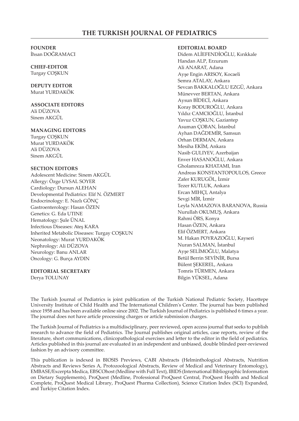#### **THE TURKISH JOURNAL OF PEDIATRICS**

#### **FOUNDER**

İhsan DOĞRAMACI

# **CHIEF-EDITOR**

Turgay COŞKUN

# **DEPUTY EDITOR**

Murat YURDAKÖK

#### **ASSOCIATE EDITORS** Ali DÜZOVA

Sinem AKGÜL

#### **MANAGING EDITORS**

Turgay COŞKUN Murat YURDAKÖK Ali DÜZOVA Sinem AKGÜL

#### **SECTION EDITORS**

Adolescent Medicine: Sinem AKGÜL Allergy: Özge UYSAL SOYER Cardiology: Dursun ALEHAN Developmental Pediatrics: Elif N. ÖZMERT Endocrinology: E. Nazlı GÖNÇ Gastroenterology: Hasan ÖZEN Genetics: G. Eda UTINE Hematology: Şule ÜNAL Infectious Diseases: Ateş KARA Inherited Metabolic Diseases: Turgay COŞKUN Neonatology: Murat YURDAKÖK Nephrology: Ali DÜZOVA Neurology: Banu ANLAR Oncology: G. Burça AYDIN

#### **EDITORIAL SECRETARY**

Derya TOLUNAY

#### **EDITORIAL BOARD**

Didem ALİEFENDİOĞLU, Kırıkkale Handan ALP, Erzurum Ali ANARAT, Adana Ayşe Engin ARISOY, Kocaeli Semra ATALAY, Ankara Sevcan BAKKALOĞLU EZGÜ, Ankara Münevver BERTAN, Ankara Aysun BİDECİ, Ankara Koray BODUROĞLU, Ankara Yıldız CAMCIOĞLU, İstanbul Yavuz COŞKUN, Gaziantep Asuman ÇOBAN, İstanbul Ayhan DAĞDEMİR, Samsun Orhan DERMAN, Ankara Mesiha EKİM, Ankara Nasib GULIYEV, Azerbaijan Enver HASANOĞLU, Ankara Gholamreza KHATAMI, Iran Andreas KONSTANTOPOULOS, Greece Zafer KURUGÖL, İzmir Tezer KUTLUK, Ankara Ercan MIHÇI, Antalya Sevgi MİR, İzmir Leyla NAMAZOVA BARANOVA, Russia Nurullah OKUMUŞ, Ankara Rahmi ÖRS, Konya Hasan ÖZEN, Ankara Elif ÖZMERT, Ankara M. Hakan POYRAZOĞLU, Kayseri Nuran SALMAN, İstanbul Ayşe SELİMOĞLU, Malatya Betül Berrin SEVİNİR, Bursa Bülent ŞEKEREL, Ankara Tomris TÜRMEN, Ankara Bilgin YÜKSEL, Adana

The Turkish Journal of Pediatrics is joint publication of the Turkish National Pediatric Society, Hacettepe University Institute of Child Health and The International Children's Center. The journal has been published since 1958 and has been available online since 2002. The Turkish Journal of Pediatrics is published 6 times a year. The journal does not have article processing charges or article submission charges.

The Turkish Journal of Pediatrics is a multidisciplinary, peer reviewed, open access journal that seeks to publish research to advance the field of Pediatrics. The Journal publishes original articles, case reports, review of the literature, short communications, clinicopathological exercises and letter to the editor in the field of pediatrics. Articles published in this journal are evaluated in an independent and unbiased, double blinded peer-reviewed fashion by an advisory committee.

This publication is indexed in BIOSIS Previews, CABI Abstracts (Helminthological Abstracts, Nutrition Abstracts and Reviews Series A, Protozoological Abstracts, Review of Medical and Veterinary Entomology), EMBASE/Excerpta Medica, EBSCOhost (Medline with Full Text), IBIDS (International Bibliographic Information on Dietary Supplements), ProQuest (Medline, Professional ProQuest Central, ProQuest Health and Medical Complete, ProQuest Medical Library, ProQuest Pharma Collection), Science Citation Index (SCI) Expanded, and Turkiye Citation Index.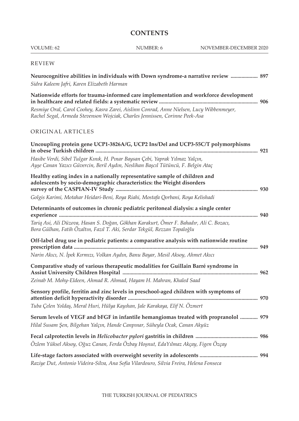| VOLUME: 62                                                                                                                                                                                                                                                      | NUMBER: 6 | NOVEMBER-DECEMBER 2020 |
|-----------------------------------------------------------------------------------------------------------------------------------------------------------------------------------------------------------------------------------------------------------------|-----------|------------------------|
| <b>REVIEW</b>                                                                                                                                                                                                                                                   |           |                        |
| Neurocognitive abilities in individuals with Down syndrome-a narrative review  897<br>Sidra Kaleem Jafri, Karen Elizabeth Harman                                                                                                                                |           |                        |
| Nationwide efforts for trauma-informed care implementation and workforce development<br>Resmiye Oral, Carol Coohey, Kasra Zarei, Aislinn Conrad, Anne Nielsen, Lucy Wibbenmeyer,<br>Rachel Segal, Armeda Stevenson Wojciak, Charles Jennissen, Corinne Peek-Asa |           |                        |
| ORIGINAL ARTICLES                                                                                                                                                                                                                                               |           |                        |
| Uncoupling protein gene UCP1-3826A/G, UCP2 Ins/Del and UCP3-55C/T polymorphisms<br>Hasibe Verdi, Sibel Tulgar Kınık, H. Pınar Baysan Çebi, Yaprak Yılmaz Yalçın,                                                                                                |           |                        |
| Ayşe Canan Yazıcı Güvercin, Beril Aydın, Neslihan Başcıl Tütüncü, F. Belgin Ataç                                                                                                                                                                                |           |                        |
| Healthy eating index in a nationally representative sample of children and<br>adolescents by socio-demographic characteristics: the Weight disorders                                                                                                            |           |                        |
| Golgis Karimi, Motahar Heidari-Beni, Roya Riahi, Mostafa Qorbani, Roya Kelishadi<br>Determinants of outcomes in chronic pediatric peritoneal dialysis: a single center                                                                                          |           |                        |
|                                                                                                                                                                                                                                                                 |           |                        |
| Tariq Asi, Ali Düzova, Hasan S. Doğan, Gökhan Karakurt, Ömer F. Bahadır, Ali C. Bozacı,<br>Bora Gülhan, Fatih Özaltın, Fazıl T. Aki, Serdar Tekgül, Rezzan Topaloğlu                                                                                            |           |                        |
| Off-label drug use in pediatric patients: a comparative analysis with nationwide routine                                                                                                                                                                        |           |                        |
| Narin Akıcı, N. İpek Kırmızı, Volkan Aydın, Banu Bayar, Mesil Aksoy, Ahmet Akıcı                                                                                                                                                                                |           |                        |
| Comparative study of various therapeutic modalities for Guillain Barré syndrome in                                                                                                                                                                              |           |                        |
| Zeinab M. Mohy-Eldeen, Ahmad R. Ahmad, Hayam H. Mahran, Khaled Saad                                                                                                                                                                                             |           |                        |
| Sensory profile, ferritin and zinc levels in preschool-aged children with symptoms of                                                                                                                                                                           |           |                        |
| Tuba Çelen Yoldaş, Meral Huri, Hülya Kayıhan, Jale Karakaya, Elif N. Özmert                                                                                                                                                                                     |           |                        |
| 979 Serum levels of VEGF and bFGF in infantile hemangiomas treated with propranolol  979<br>Hilal Susam Şen, Bilgehan Yalçın, Hande Canpınar, Süheyla Ocak, Canan Akyüz                                                                                         |           |                        |
| Özlem Yüksel Aksoy, Oğuz Canan, Ferda Özbay Hoşnut, EdaYılmaz Akçay, Figen Özçay                                                                                                                                                                                |           |                        |
| Raziye Dut, Antonio Videira-Silva, Ana Sofia Vilardouro, Silvia Freira, Helena Fonseca                                                                                                                                                                          |           |                        |

**CONTENTS**